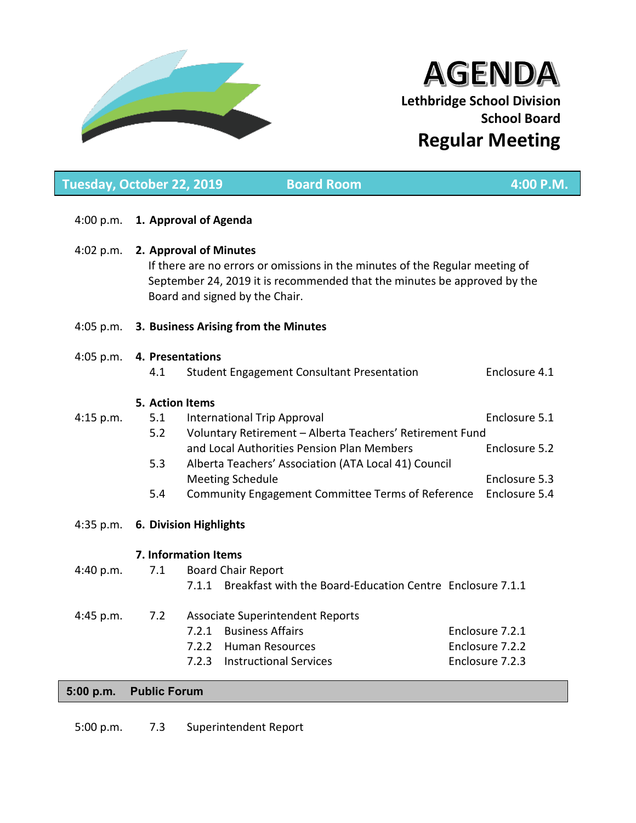

# **AGENDA Lethbridge School Division School Board Regular Meeting**

| Tuesday, October 22, 2019 |                  | <b>Board Room</b>                                                                                                                                                                                                    | 4:00 P.M.                      |  |  |  |
|---------------------------|------------------|----------------------------------------------------------------------------------------------------------------------------------------------------------------------------------------------------------------------|--------------------------------|--|--|--|
| 4:00 p.m.                 |                  | 1. Approval of Agenda                                                                                                                                                                                                |                                |  |  |  |
| 4:02 p.m.                 |                  | 2. Approval of Minutes<br>If there are no errors or omissions in the minutes of the Regular meeting of<br>September 24, 2019 it is recommended that the minutes be approved by the<br>Board and signed by the Chair. |                                |  |  |  |
| 4:05 p.m.                 |                  | 3. Business Arising from the Minutes                                                                                                                                                                                 |                                |  |  |  |
| 4:05 p.m.                 | 4. Presentations |                                                                                                                                                                                                                      |                                |  |  |  |
|                           | 4.1              | <b>Student Engagement Consultant Presentation</b>                                                                                                                                                                    | Enclosure 4.1                  |  |  |  |
|                           | 5. Action Items  |                                                                                                                                                                                                                      |                                |  |  |  |
| 4:15 p.m.                 | 5.1              | International Trip Approval                                                                                                                                                                                          | Enclosure 5.1                  |  |  |  |
|                           | 5.2              | Voluntary Retirement - Alberta Teachers' Retirement Fund                                                                                                                                                             |                                |  |  |  |
|                           |                  | and Local Authorities Pension Plan Members                                                                                                                                                                           | Enclosure 5.2                  |  |  |  |
|                           | 5.3              | Alberta Teachers' Association (ATA Local 41) Council                                                                                                                                                                 |                                |  |  |  |
|                           | 5.4              | <b>Meeting Schedule</b><br>Community Engagement Committee Terms of Reference                                                                                                                                         | Enclosure 5.3<br>Enclosure 5.4 |  |  |  |
|                           |                  |                                                                                                                                                                                                                      |                                |  |  |  |
| 4:35 p.m.                 |                  | <b>6. Division Highlights</b>                                                                                                                                                                                        |                                |  |  |  |
|                           |                  | 7. Information Items                                                                                                                                                                                                 |                                |  |  |  |
| 4:40 p.m.                 | 7.1              | <b>Board Chair Report</b>                                                                                                                                                                                            |                                |  |  |  |
|                           |                  | Breakfast with the Board-Education Centre Enclosure 7.1.1<br>7.1.1                                                                                                                                                   |                                |  |  |  |
| 4:45 p.m.                 | 7.2              | <b>Associate Superintendent Reports</b>                                                                                                                                                                              |                                |  |  |  |
|                           |                  | 7.2.1 Business Affairs                                                                                                                                                                                               | Enclosure 7.2.1                |  |  |  |
|                           |                  | 7.2.2 Human Resources                                                                                                                                                                                                | Enclosure 7.2.2                |  |  |  |
|                           |                  | <b>Instructional Services</b><br>7.2.3                                                                                                                                                                               | Enclosure 7.2.3                |  |  |  |
|                           |                  |                                                                                                                                                                                                                      |                                |  |  |  |

## **5:00 p.m. Public Forum**

5:00 p.m. 7.3 Superintendent Report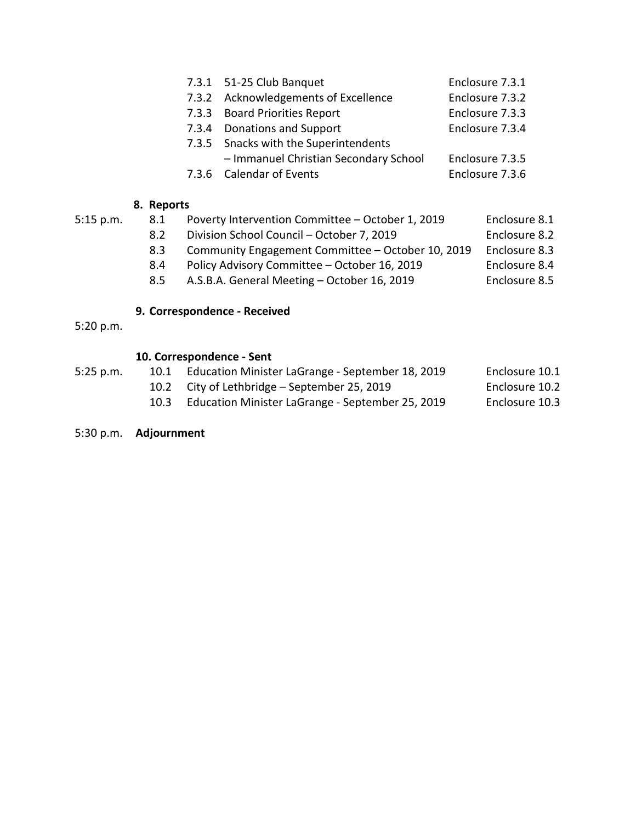| 7.3.1 51-25 Club Banquet<br>Enclosure 7.3.1              |  |
|----------------------------------------------------------|--|
| 7.3.2 Acknowledgements of Excellence<br>Enclosure 7.3.2  |  |
| 7.3.3 Board Priorities Report<br>Enclosure 7.3.3         |  |
| Enclosure 7.3.4<br>7.3.4 Donations and Support           |  |
| 7.3.5 Snacks with the Superintendents                    |  |
| - Immanuel Christian Secondary School<br>Enclosure 7.3.5 |  |
| Enclosure 7.3.6<br>7.3.6 Calendar of Events              |  |

## **8. Reports**

5:15 p.m. 8.1 Poverty Intervention Committee – October 1, 2019 Enclosure 8.1 8.2 Division School Council – October 7, 2019 Enclosure 8.2 8.3 Community Engagement Committee – October 10, 2019 Enclosure 8.3 8.4 Policy Advisory Committee – October 16, 2019 Enclosure 8.4 8.5 A.S.B.A. General Meeting – October 16, 2019 Enclosure 8.5

## **9. Correspondence - Received**

5:20 p.m.

## **10. Correspondence - Sent**

| 5:25 p.m. | 10.1 Education Minister LaGrange - September 18, 2019 | Enclosure 10.1 |
|-----------|-------------------------------------------------------|----------------|
|           | 10.2 City of Lethbridge – September 25, 2019          | Enclosure 10.2 |
|           | $\cdots$                                              | $\sim$ $\sim$  |

- 10.3 Education Minister LaGrange September 25, 2019 Enclosure 10.3
- 5:30 p.m. **Adjournment**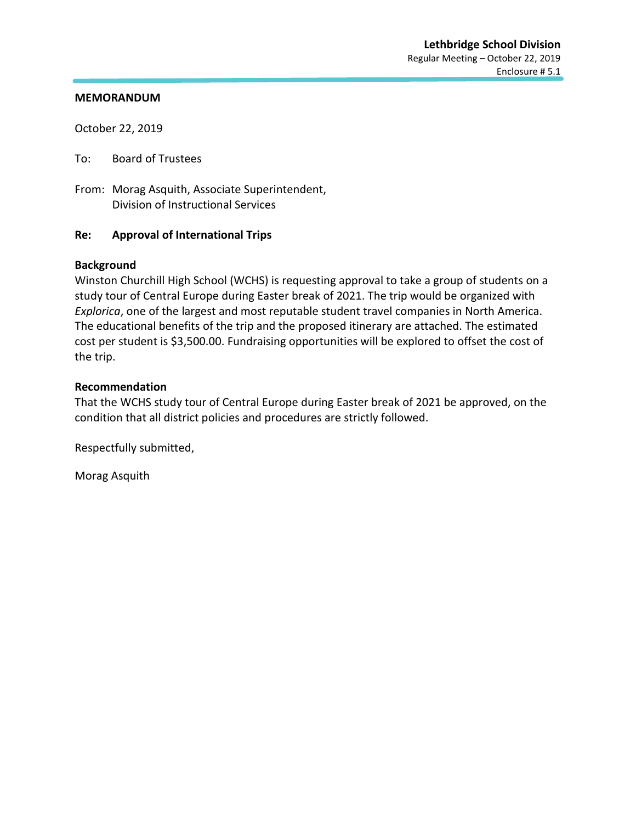October 22, 2019

To: Board of Trustees

From: Morag Asquith, Associate Superintendent, Division of Instructional Services

## **Re: Approval of International Trips**

## **Background**

Winston Churchill High School (WCHS) is requesting approval to take a group of students on a study tour of Central Europe during Easter break of 2021. The trip would be organized with *Explorica*, one of the largest and most reputable student travel companies in North America. The educational benefits of the trip and the proposed itinerary are attached. The estimated cost per student is \$3,500.00. Fundraising opportunities will be explored to offset the cost of the trip.

## **Recommendation**

That the WCHS study tour of Central Europe during Easter break of 2021 be approved, on the condition that all district policies and procedures are strictly followed.

Respectfully submitted,

Morag Asquith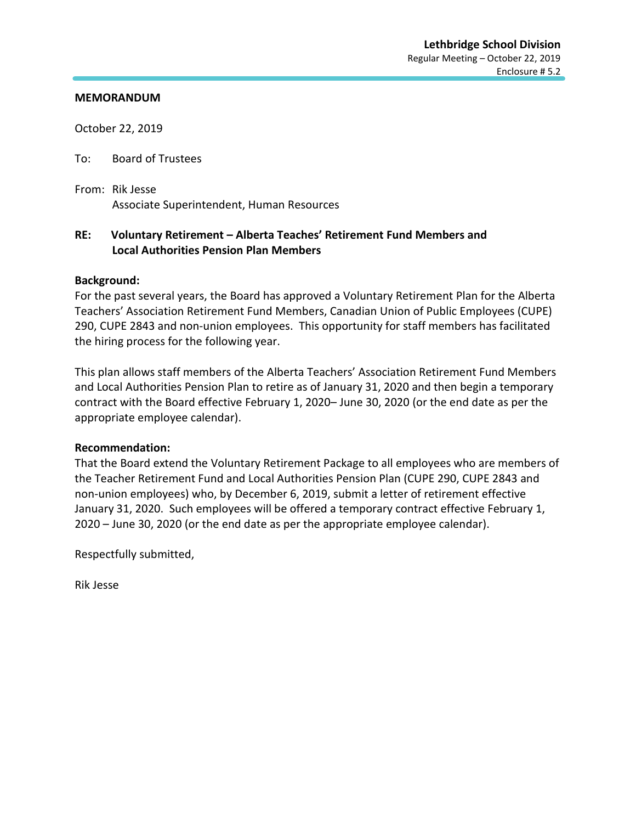October 22, 2019

To: Board of Trustees

From: Rik Jesse Associate Superintendent, Human Resources

## **RE: Voluntary Retirement – Alberta Teaches' Retirement Fund Members and Local Authorities Pension Plan Members**

## **Background:**

For the past several years, the Board has approved a Voluntary Retirement Plan for the Alberta Teachers' Association Retirement Fund Members, Canadian Union of Public Employees (CUPE) 290, CUPE 2843 and non-union employees. This opportunity for staff members has facilitated the hiring process for the following year.

This plan allows staff members of the Alberta Teachers' Association Retirement Fund Members and Local Authorities Pension Plan to retire as of January 31, 2020 and then begin a temporary contract with the Board effective February 1, 2020– June 30, 2020 (or the end date as per the appropriate employee calendar).

## **Recommendation:**

That the Board extend the Voluntary Retirement Package to all employees who are members of the Teacher Retirement Fund and Local Authorities Pension Plan (CUPE 290, CUPE 2843 and non-union employees) who, by December 6, 2019, submit a letter of retirement effective January 31, 2020. Such employees will be offered a temporary contract effective February 1, 2020 – June 30, 2020 (or the end date as per the appropriate employee calendar).

Respectfully submitted,

Rik Jesse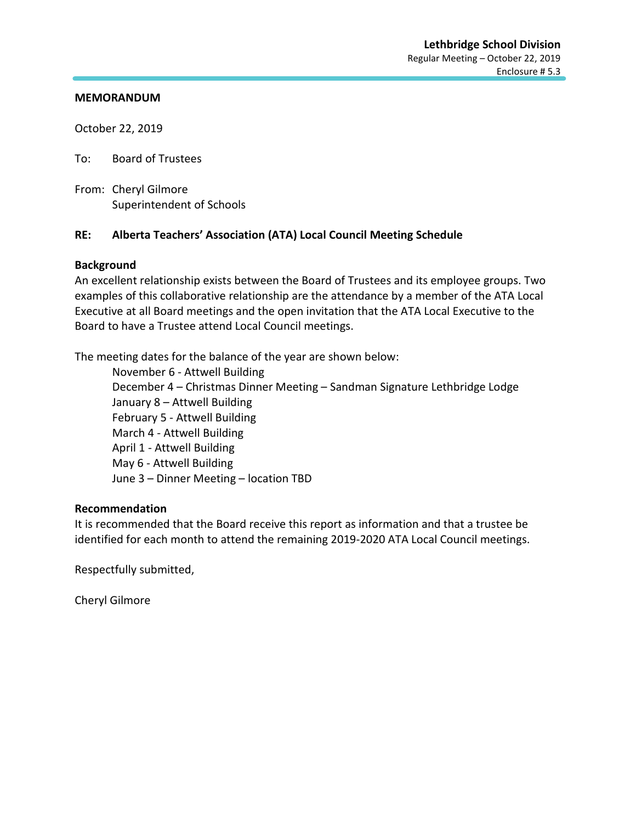October 22, 2019

To: Board of Trustees

From: Cheryl Gilmore Superintendent of Schools

## **RE: Alberta Teachers' Association (ATA) Local Council Meeting Schedule**

## **Background**

An excellent relationship exists between the Board of Trustees and its employee groups. Two examples of this collaborative relationship are the attendance by a member of the ATA Local Executive at all Board meetings and the open invitation that the ATA Local Executive to the Board to have a Trustee attend Local Council meetings.

The meeting dates for the balance of the year are shown below:

November 6 - Attwell Building December 4 – Christmas Dinner Meeting – Sandman Signature Lethbridge Lodge January 8 – Attwell Building February 5 - Attwell Building March 4 - Attwell Building April 1 - Attwell Building May 6 - Attwell Building June 3 – Dinner Meeting – location TBD

## **Recommendation**

It is recommended that the Board receive this report as information and that a trustee be identified for each month to attend the remaining 2019-2020 ATA Local Council meetings.

Respectfully submitted,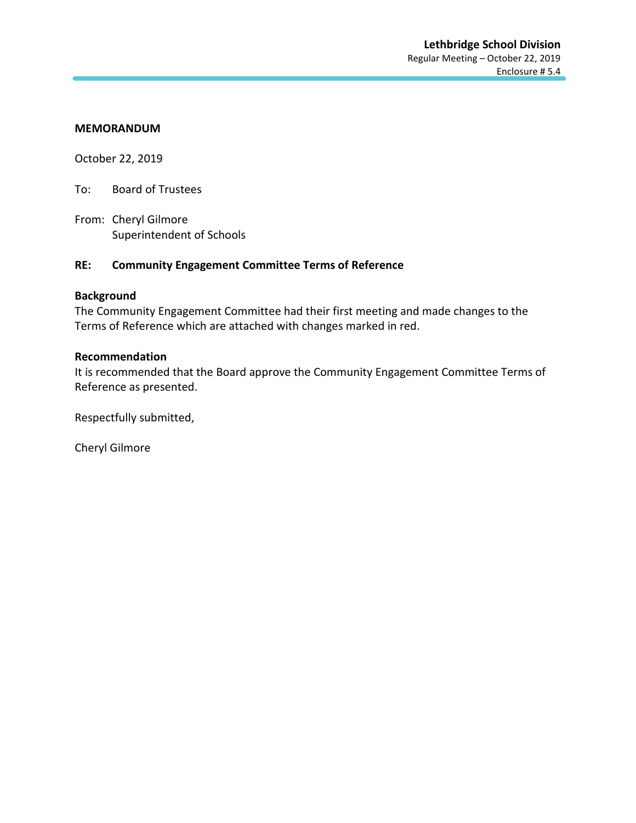October 22, 2019

To: Board of Trustees

From: Cheryl Gilmore Superintendent of Schools

## **RE: Community Engagement Committee Terms of Reference**

## **Background**

The Community Engagement Committee had their first meeting and made changes to the Terms of Reference which are attached with changes marked in red.

## **Recommendation**

It is recommended that the Board approve the Community Engagement Committee Terms of Reference as presented.

Respectfully submitted,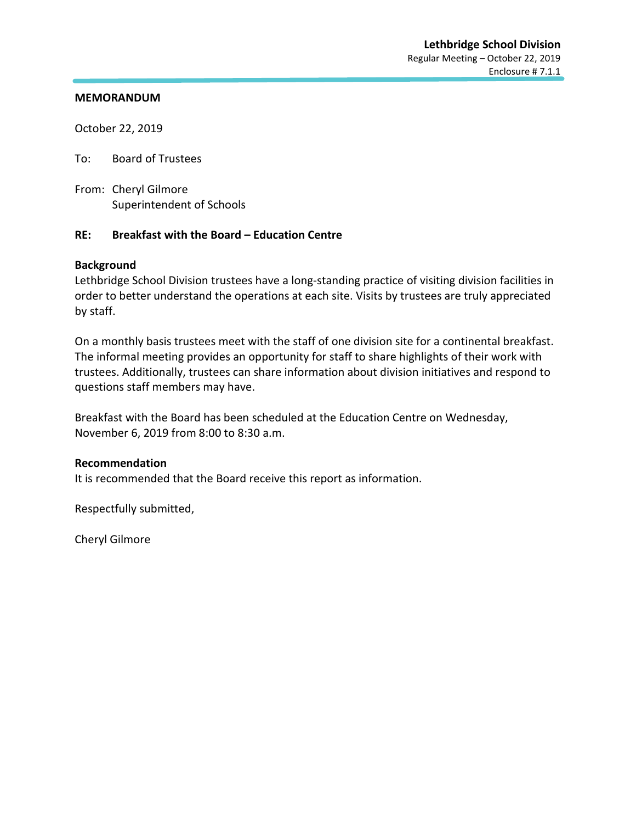October 22, 2019

To: Board of Trustees

From: Cheryl Gilmore Superintendent of Schools

## **RE: Breakfast with the Board – Education Centre**

## **Background**

Lethbridge School Division trustees have a long-standing practice of visiting division facilities in order to better understand the operations at each site. Visits by trustees are truly appreciated by staff.

On a monthly basis trustees meet with the staff of one division site for a continental breakfast. The informal meeting provides an opportunity for staff to share highlights of their work with trustees. Additionally, trustees can share information about division initiatives and respond to questions staff members may have.

Breakfast with the Board has been scheduled at the Education Centre on Wednesday, November 6, 2019 from 8:00 to 8:30 a.m.

## **Recommendation**

It is recommended that the Board receive this report as information.

Respectfully submitted,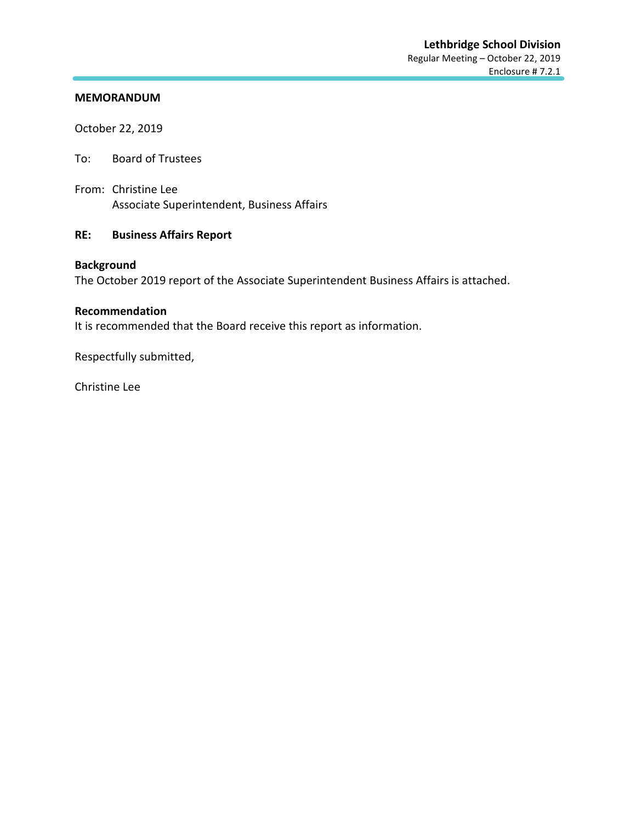October 22, 2019

- To: Board of Trustees
- From: Christine Lee Associate Superintendent, Business Affairs

## **RE: Business Affairs Report**

## **Background**

The October 2019 report of the Associate Superintendent Business Affairs is attached.

## **Recommendation**

It is recommended that the Board receive this report as information.

Respectfully submitted,

Christine Lee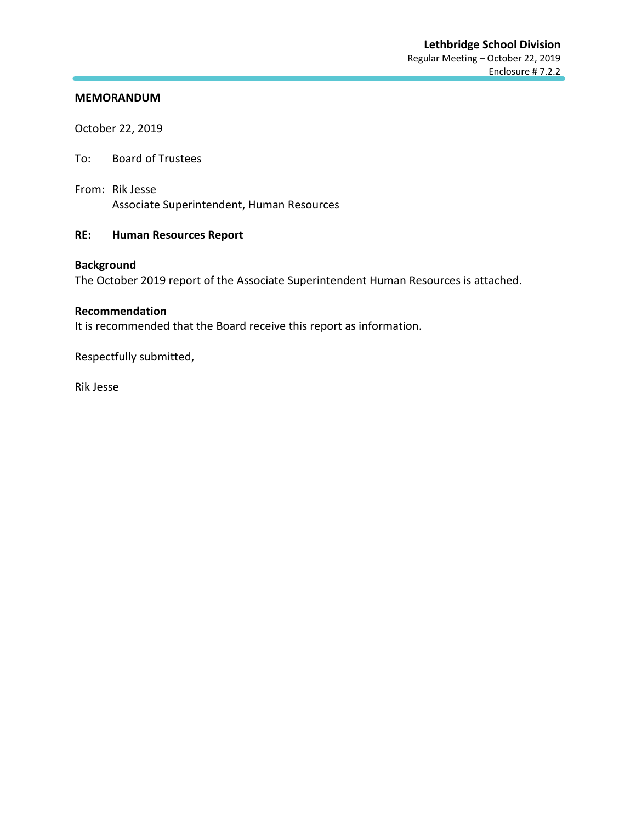October 22, 2019

- To: Board of Trustees
- From: Rik Jesse Associate Superintendent, Human Resources

## **RE: Human Resources Report**

## **Background**

The October 2019 report of the Associate Superintendent Human Resources is attached.

## **Recommendation**

It is recommended that the Board receive this report as information.

Respectfully submitted,

Rik Jesse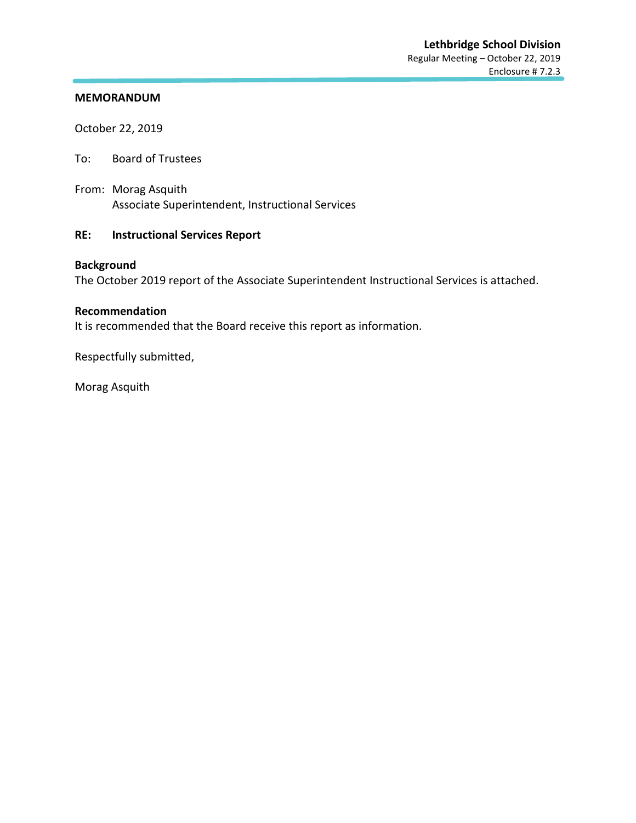October 22, 2019

- To: Board of Trustees
- From: Morag Asquith Associate Superintendent, Instructional Services

## **RE: Instructional Services Report**

## **Background**

The October 2019 report of the Associate Superintendent Instructional Services is attached.

#### **Recommendation**

It is recommended that the Board receive this report as information.

Respectfully submitted,

Morag Asquith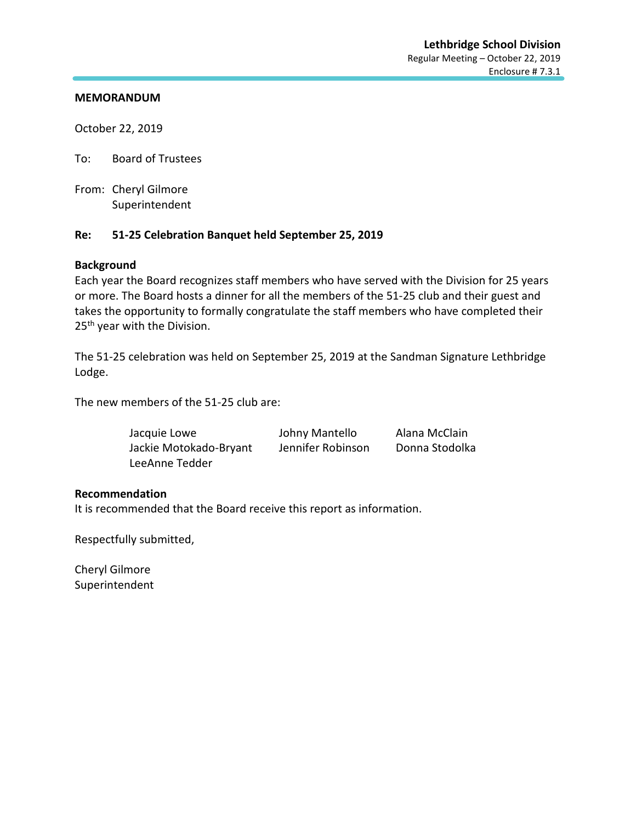October 22, 2019

To: Board of Trustees

From: Cheryl Gilmore Superintendent

## **Re: 51-25 Celebration Banquet held September 25, 2019**

## **Background**

Each year the Board recognizes staff members who have served with the Division for 25 years or more. The Board hosts a dinner for all the members of the 51-25 club and their guest and takes the opportunity to formally congratulate the staff members who have completed their 25<sup>th</sup> year with the Division.

The 51-25 celebration was held on September 25, 2019 at the Sandman Signature Lethbridge Lodge.

The new members of the 51-25 club are:

| Jacquie Lowe           | Johny Mantello    | Alana McClain  |
|------------------------|-------------------|----------------|
| Jackie Motokado-Bryant | Jennifer Robinson | Donna Stodolka |
| LeeAnne Tedder         |                   |                |

## **Recommendation**

It is recommended that the Board receive this report as information.

Respectfully submitted,

Cheryl Gilmore Superintendent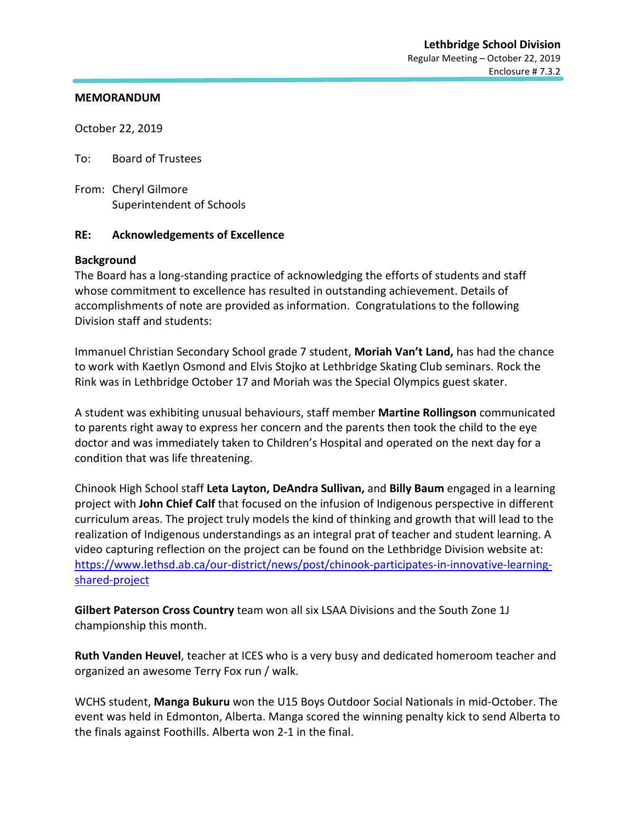October 22, 2019

To: Board of Trustees

From: Cheryl Gilmore Superintendent of Schools

## **RE: Acknowledgements of Excellence**

## **Background**

The Board has a long-standing practice of acknowledging the efforts of students and staff whose commitment to excellence has resulted in outstanding achievement. Details of accomplishments of note are provided as information. Congratulations to the following Division staff and students:

Immanuel Christian Secondary School grade 7 student, **Moriah Van't Land,** has had the chance to work with Kaetlyn Osmond and Elvis Stojko at Lethbridge Skating Club seminars. Rock the Rink was in Lethbridge October 17 and Moriah was the Special Olympics guest skater.

A student was exhibiting unusual behaviours, staff member **Martine Rollingson** communicated to parents right away to express her concern and the parents then took the child to the eye doctor and was immediately taken to Children's Hospital and operated on the next day for a condition that was life threatening.

Chinook High School staff **Leta Layton, DeAndra Sullivan,** and **Billy Baum** engaged in a learning project with **John Chief Calf** that focused on the infusion of Indigenous perspective in different curriculum areas. The project truly models the kind of thinking and growth that will lead to the realization of Indigenous understandings as an integral prat of teacher and student learning. A video capturing reflection on the project can be found on the Lethbridge Division website at: [https://www.lethsd.ab.ca/our-district/news/post/chinook-participates-in-innovative-learning](https://www.lethsd.ab.ca/our-district/news/post/chinook-participates-in-innovative-learning-shared-project)[shared-project](https://www.lethsd.ab.ca/our-district/news/post/chinook-participates-in-innovative-learning-shared-project)

**Gilbert Paterson Cross Country** team won all six LSAA Divisions and the South Zone 1J championship this month.

**Ruth Vanden Heuvel**, teacher at ICES who is a very busy and dedicated homeroom teacher and organized an awesome Terry Fox run / walk.

WCHS student, **Manga Bukuru** won the U15 Boys Outdoor Social Nationals in mid-October. The event was held in Edmonton, Alberta. Manga scored the winning penalty kick to send Alberta to the finals against Foothills. Alberta won 2-1 in the final.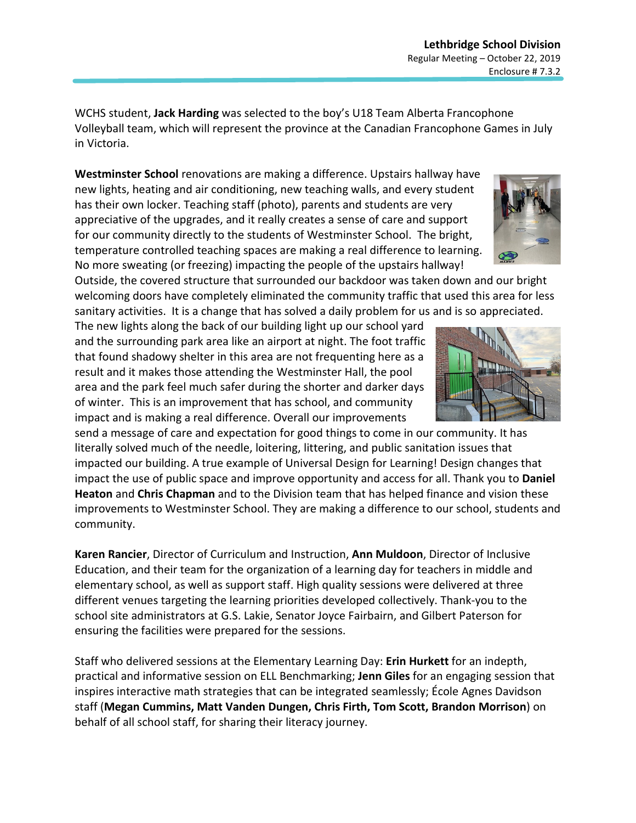WCHS student, **Jack Harding** was selected to the boy's U18 Team Alberta Francophone Volleyball team, which will represent the province at the Canadian Francophone Games in July in Victoria.

**Westminster School** renovations are making a difference. Upstairs hallway have new lights, heating and air conditioning, new teaching walls, and every student has their own locker. Teaching staff (photo), parents and students are very appreciative of the upgrades, and it really creates a sense of care and support for our community directly to the students of Westminster School. The bright, temperature controlled teaching spaces are making a real difference to learning. No more sweating (or freezing) impacting the people of the upstairs hallway!

Outside, the covered structure that surrounded our backdoor was taken down and our bright welcoming doors have completely eliminated the community traffic that used this area for less sanitary activities. It is a change that has solved a daily problem for us and is so appreciated.

The new lights along the back of our building light up our school yard and the surrounding park area like an airport at night. The foot traffic that found shadowy shelter in this area are not frequenting here as a result and it makes those attending the Westminster Hall, the pool area and the park feel much safer during the shorter and darker days of winter. This is an improvement that has school, and community impact and is making a real difference. Overall our improvements

send a message of care and expectation for good things to come in our community. It has literally solved much of the needle, loitering, littering, and public sanitation issues that impacted our building. A true example of Universal Design for Learning! Design changes that impact the use of public space and improve opportunity and access for all. Thank you to **Daniel Heaton** and **Chris Chapman** and to the Division team that has helped finance and vision these improvements to Westminster School. They are making a difference to our school, students and community.

**Karen Rancier**, Director of Curriculum and Instruction, **Ann Muldoon**, Director of Inclusive Education, and their team for the organization of a learning day for teachers in middle and elementary school, as well as support staff. High quality sessions were delivered at three different venues targeting the learning priorities developed collectively. Thank-you to the school site administrators at G.S. Lakie, Senator Joyce Fairbairn, and Gilbert Paterson for ensuring the facilities were prepared for the sessions.

Staff who delivered sessions at the Elementary Learning Day: **Erin Hurkett** for an indepth, practical and informative session on ELL Benchmarking; **Jenn Giles** for an engaging session that inspires interactive math strategies that can be integrated seamlessly; École Agnes Davidson staff (**Megan Cummins, Matt Vanden Dungen, Chris Firth, Tom Scott, Brandon Morrison**) on behalf of all school staff, for sharing their literacy journey.



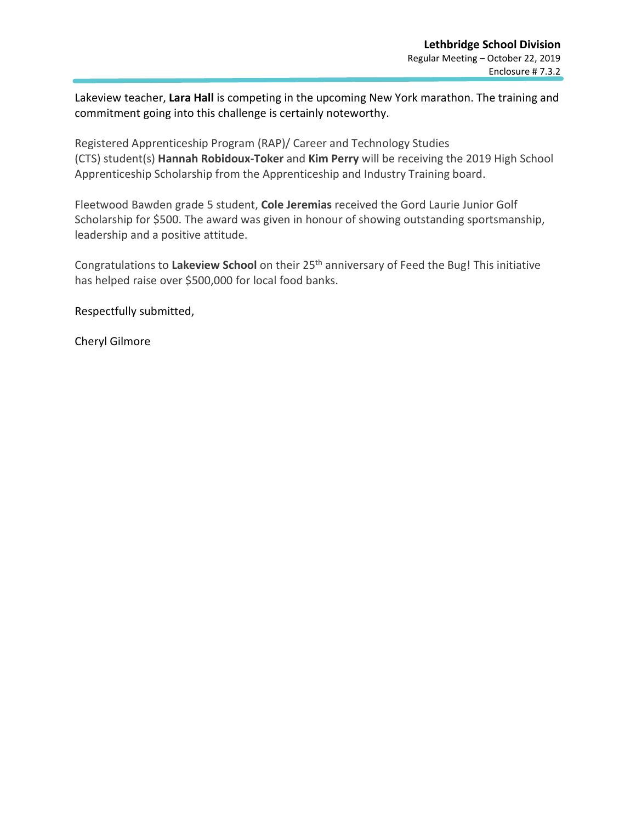Lakeview teacher, **Lara Hall** is competing in the upcoming New York marathon. The training and commitment going into this challenge is certainly noteworthy.

Registered Apprenticeship Program (RAP)/ Career and Technology Studies (CTS) student(s) **Hannah Robidoux-Toker** and **Kim Perry** will be receiving the 2019 High School Apprenticeship Scholarship from the Apprenticeship and Industry Training board.

Fleetwood Bawden grade 5 student, **Cole Jeremias** received the Gord Laurie Junior Golf Scholarship for \$500. The award was given in honour of showing outstanding sportsmanship, leadership and a positive attitude.

Congratulations to **Lakeview School** on their 25th anniversary of Feed the Bug! This initiative has helped raise over \$500,000 for local food banks.

Respectfully submitted,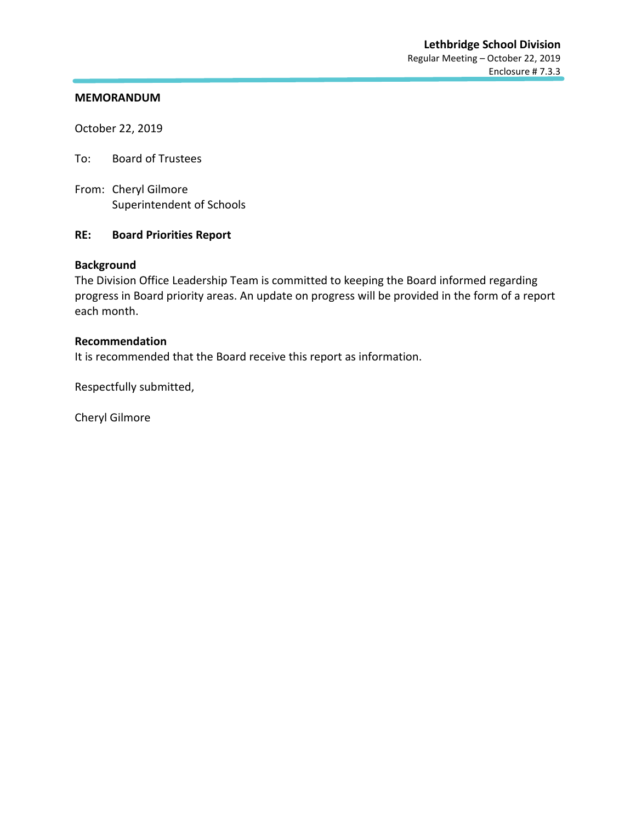October 22, 2019

To: Board of Trustees

From: Cheryl Gilmore Superintendent of Schools

## **RE: Board Priorities Report**

## **Background**

The Division Office Leadership Team is committed to keeping the Board informed regarding progress in Board priority areas. An update on progress will be provided in the form of a report each month.

## **Recommendation**

It is recommended that the Board receive this report as information.

Respectfully submitted,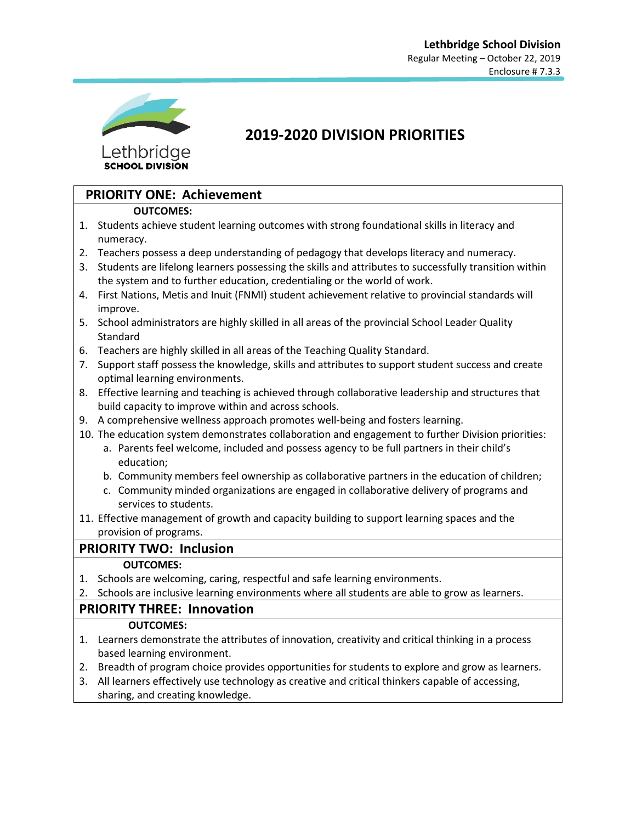

## **2019-2020 DIVISION PRIORITIES**

## **PRIORITY ONE: Achievement**

## **OUTCOMES:**

- 1. Students achieve student learning outcomes with strong foundational skills in literacy and numeracy.
- 2. Teachers possess a deep understanding of pedagogy that develops literacy and numeracy.
- 3. Students are lifelong learners possessing the skills and attributes to successfully transition within the system and to further education, credentialing or the world of work.
- 4. First Nations, Metis and Inuit (FNMI) student achievement relative to provincial standards will improve.
- 5. School administrators are highly skilled in all areas of the provincial School Leader Quality **Standard**
- 6. Teachers are highly skilled in all areas of the Teaching Quality Standard.
- 7. Support staff possess the knowledge, skills and attributes to support student success and create optimal learning environments.
- 8. Effective learning and teaching is achieved through collaborative leadership and structures that build capacity to improve within and across schools.
- 9. A comprehensive wellness approach promotes well-being and fosters learning.
- 10. The education system demonstrates collaboration and engagement to further Division priorities:
	- a. Parents feel welcome, included and possess agency to be full partners in their child's education;
	- b. Community members feel ownership as collaborative partners in the education of children;
	- c. Community minded organizations are engaged in collaborative delivery of programs and services to students.
- 11. Effective management of growth and capacity building to support learning spaces and the provision of programs.

## **PRIORITY TWO: Inclusion**

## **OUTCOMES:**

- 1. Schools are welcoming, caring, respectful and safe learning environments.
- 2. Schools are inclusive learning environments where all students are able to grow as learners.

## **PRIORITY THREE: Innovation**

## **OUTCOMES:**

- 1. Learners demonstrate the attributes of innovation, creativity and critical thinking in a process based learning environment.
- 2. Breadth of program choice provides opportunities for students to explore and grow as learners.
- 3. All learners effectively use technology as creative and critical thinkers capable of accessing, sharing, and creating knowledge.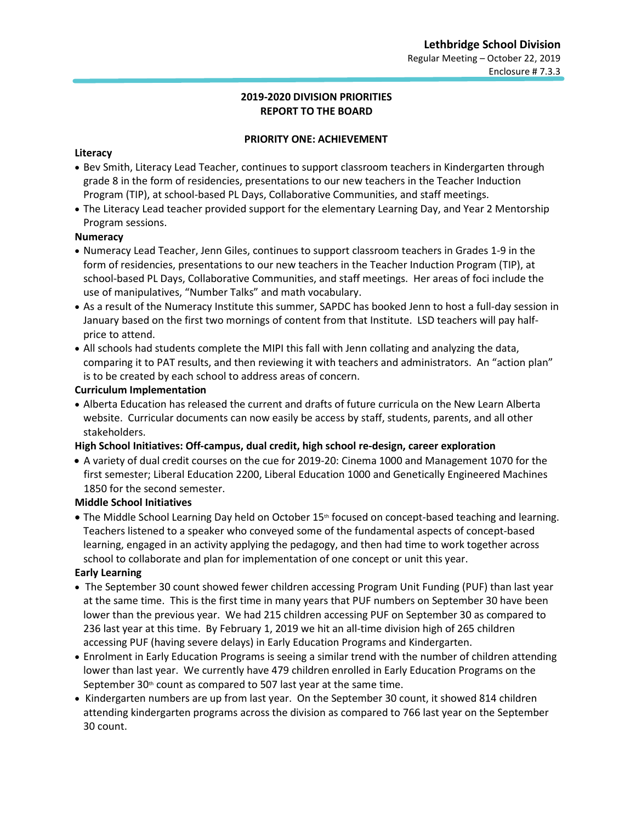## **2019-2020 DIVISION PRIORITIES REPORT TO THE BOARD**

## **PRIORITY ONE: ACHIEVEMENT**

## **Literacy**

- Bev Smith, Literacy Lead Teacher, continues to support classroom teachers in Kindergarten through grade 8 in the form of residencies, presentations to our new teachers in the Teacher Induction Program (TIP), at school-based PL Days, Collaborative Communities, and staff meetings.
- The Literacy Lead teacher provided support for the elementary Learning Day, and Year 2 Mentorship Program sessions.

## **Numeracy**

- Numeracy Lead Teacher, Jenn Giles, continues to support classroom teachers in Grades 1-9 in the form of residencies, presentations to our new teachers in the Teacher Induction Program (TIP), at school-based PL Days, Collaborative Communities, and staff meetings. Her areas of foci include the use of manipulatives, "Number Talks" and math vocabulary.
- As a result of the Numeracy Institute this summer, SAPDC has booked Jenn to host a full-day session in January based on the first two mornings of content from that Institute. LSD teachers will pay halfprice to attend.
- All schools had students complete the MIPI this fall with Jenn collating and analyzing the data, comparing it to PAT results, and then reviewing it with teachers and administrators. An "action plan" is to be created by each school to address areas of concern.

## **Curriculum Implementation**

• Alberta Education has released the current and drafts of future curricula on the New Learn Alberta website. Curricular documents can now easily be access by staff, students, parents, and all other stakeholders.

## **High School Initiatives: Off-campus, dual credit, high school re-design, career exploration**

• A variety of dual credit courses on the cue for 2019-20: Cinema 1000 and Management 1070 for the first semester; Liberal Education 2200, Liberal Education 1000 and Genetically Engineered Machines 1850 for the second semester.

## **Middle School Initiatives**

• The Middle School Learning Day held on October 15<sup>th</sup> focused on concept-based teaching and learning. Teachers listened to a speaker who conveyed some of the fundamental aspects of concept-based learning, engaged in an activity applying the pedagogy, and then had time to work together across school to collaborate and plan for implementation of one concept or unit this year.

## **Early Learning**

- The September 30 count showed fewer children accessing Program Unit Funding (PUF) than last year at the same time. This is the first time in many years that PUF numbers on September 30 have been lower than the previous year. We had 215 children accessing PUF on September 30 as compared to 236 last year at this time. By February 1, 2019 we hit an all-time division high of 265 children accessing PUF (having severe delays) in Early Education Programs and Kindergarten.
- Enrolment in Early Education Programs is seeing a similar trend with the number of children attending lower than last year. We currently have 479 children enrolled in Early Education Programs on the September  $30<sup>th</sup>$  count as compared to 507 last year at the same time.
- Kindergarten numbers are up from last year. On the September 30 count, it showed 814 children attending kindergarten programs across the division as compared to 766 last year on the September 30 count.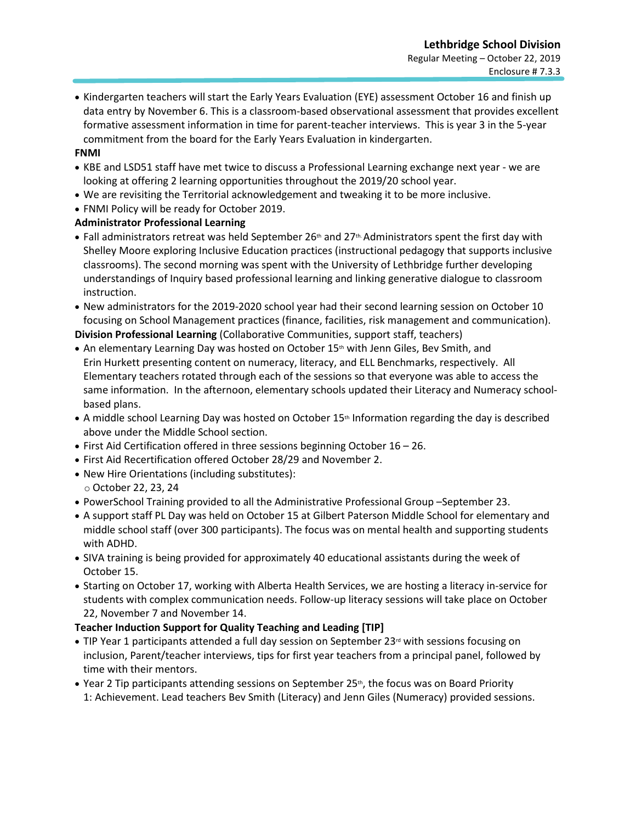• Kindergarten teachers will start the Early Years Evaluation (EYE) assessment October 16 and finish up data entry by November 6. This is a classroom-based observational assessment that provides excellent formative assessment information in time for parent-teacher interviews. This is year 3 in the 5-year commitment from the board for the Early Years Evaluation in kindergarten.

## **FNMI**

- KBE and LSD51 staff have met twice to discuss a Professional Learning exchange next year we are looking at offering 2 learning opportunities throughout the 2019/20 school year.
- We are revisiting the Territorial acknowledgement and tweaking it to be more inclusive.
- FNMI Policy will be ready for October 2019.

## **Administrator Professional Learning**

- Fall administrators retreat was held September 26<sup>th</sup> and 27<sup>th</sup>. Administrators spent the first day with Shelley Moore exploring Inclusive Education practices (instructional pedagogy that supports inclusive classrooms). The second morning was spent with the University of Lethbridge further developing understandings of Inquiry based professional learning and linking generative dialogue to classroom instruction.
- New administrators for the 2019-2020 school year had their second learning session on October 10 focusing on School Management practices (finance, facilities, risk management and communication). **Division Professional Learning** (Collaborative Communities, support staff, teachers)
- An elementary Learning Day was hosted on October 15<sup>th</sup> with Jenn Giles, Bev Smith, and Erin Hurkett presenting content on numeracy, literacy, and ELL Benchmarks, respectively. All Elementary teachers rotated through each of the sessions so that everyone was able to access the same information. In the afternoon, elementary schools updated their Literacy and Numeracy schoolbased plans.
- A middle school Learning Day was hosted on October 15<sup>th</sup> Information regarding the day is described above under the Middle School section.
- First Aid Certification offered in three sessions beginning October 16 26.
- First Aid Recertification offered October 28/29 and November 2.
- New Hire Orientations (including substitutes):
- o October 22, 23, 24
- PowerSchool Training provided to all the Administrative Professional Group –September 23.
- A support staff PL Day was held on October 15 at Gilbert Paterson Middle School for elementary and middle school staff (over 300 participants). The focus was on mental health and supporting students with ADHD.
- SIVA training is being provided for approximately 40 educational assistants during the week of October 15.
- Starting on October 17, working with Alberta Health Services, we are hosting a literacy in-service for students with complex communication needs. Follow-up literacy sessions will take place on October 22, November 7 and November 14.

## **Teacher Induction Support for Quality Teaching and Leading [TIP]**

- TIP Year 1 participants attended a full day session on September 23<sup>rd</sup> with sessions focusing on inclusion, Parent/teacher interviews, tips for first year teachers from a principal panel, followed by time with their mentors.
- Year 2 Tip participants attending sessions on September 25<sup>th</sup>, the focus was on Board Priority 1: Achievement. Lead teachers Bev Smith (Literacy) and Jenn Giles (Numeracy) provided sessions.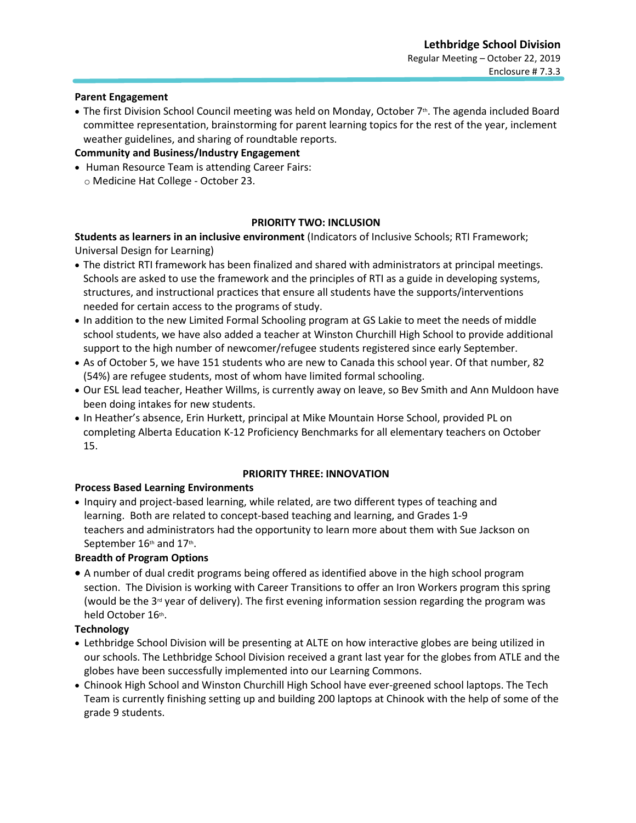## **Parent Engagement**

• The first Division School Council meeting was held on Monday, October 7<sup>th</sup>. The agenda included Board committee representation, brainstorming for parent learning topics for the rest of the year, inclement weather guidelines, and sharing of roundtable reports.

## **Community and Business/Industry Engagement**

• Human Resource Team is attending Career Fairs: o Medicine Hat College - October 23.

## **PRIORITY TWO: INCLUSION**

**Students as learners in an inclusive environment** (Indicators of Inclusive Schools; RTI Framework; Universal Design for Learning)

- The district RTI framework has been finalized and shared with administrators at principal meetings. Schools are asked to use the framework and the principles of RTI as a guide in developing systems, structures, and instructional practices that ensure all students have the supports/interventions needed for certain access to the programs of study.
- In addition to the new Limited Formal Schooling program at GS Lakie to meet the needs of middle school students, we have also added a teacher at Winston Churchill High School to provide additional support to the high number of newcomer/refugee students registered since early September.
- As of October 5, we have 151 students who are new to Canada this school year. Of that number, 82 (54%) are refugee students, most of whom have limited formal schooling.
- Our ESL lead teacher, Heather Willms, is currently away on leave, so Bev Smith and Ann Muldoon have been doing intakes for new students.
- In Heather's absence, Erin Hurkett, principal at Mike Mountain Horse School, provided PL on completing Alberta Education K-12 Proficiency Benchmarks for all elementary teachers on October 15.

#### **PRIORITY THREE: INNOVATION**

## **Process Based Learning Environments**

• Inquiry and project-based learning, while related, are two different types of teaching and learning. Both are related to concept-based teaching and learning, and Grades 1-9 teachers and administrators had the opportunity to learn more about them with Sue Jackson on September 16th and 17th.

## **Breadth of Program Options**

• A number of dual credit programs being offered as identified above in the high school program section. The Division is working with Career Transitions to offer an Iron Workers program this spring (would be the 3<sup>rd</sup> year of delivery). The first evening information session regarding the program was held October 16th.

## **Technology**

- Lethbridge School Division will be presenting at ALTE on how interactive globes are being utilized in our schools. The Lethbridge School Division received a grant last year for the globes from ATLE and the globes have been successfully implemented into our Learning Commons.
- Chinook High School and Winston Churchill High School have ever-greened school laptops. The Tech Team is currently finishing setting up and building 200 laptops at Chinook with the help of some of the grade 9 students.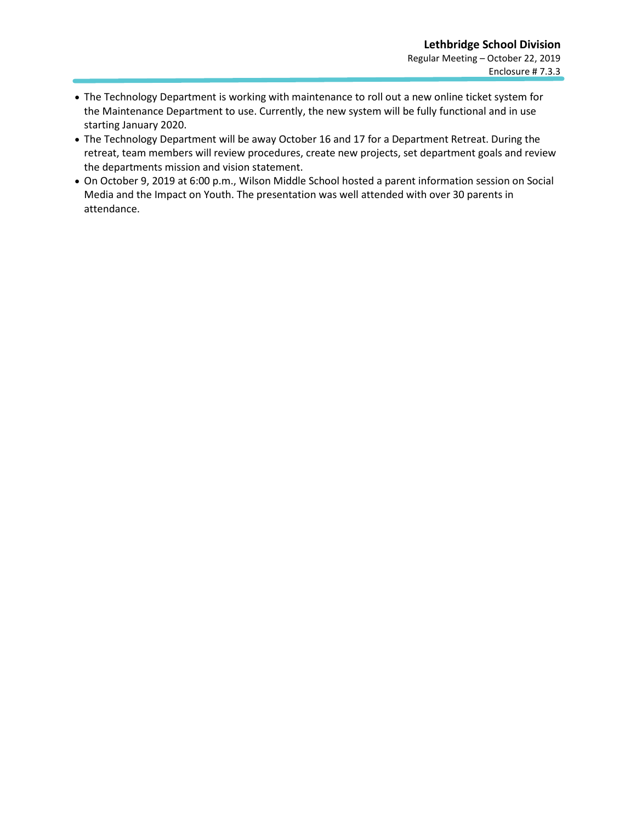- The Technology Department is working with maintenance to roll out a new online ticket system for the Maintenance Department to use. Currently, the new system will be fully functional and in use starting January 2020.
- The Technology Department will be away October 16 and 17 for a Department Retreat. During the retreat, team members will review procedures, create new projects, set department goals and review the departments mission and vision statement.
- On October 9, 2019 at 6:00 p.m., Wilson Middle School hosted a parent information session on Social Media and the Impact on Youth. The presentation was well attended with over 30 parents in attendance.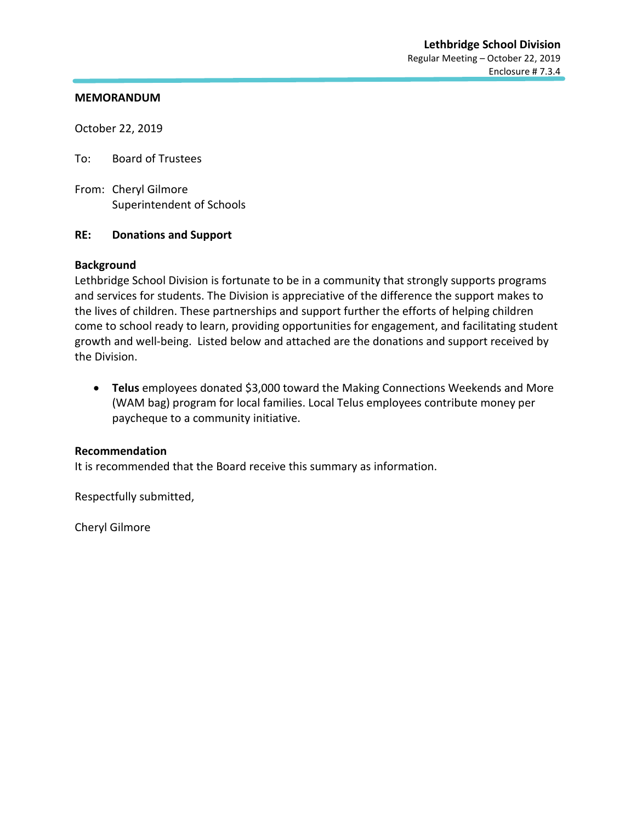October 22, 2019

To: Board of Trustees

From: Cheryl Gilmore Superintendent of Schools

## **RE: Donations and Support**

## **Background**

Lethbridge School Division is fortunate to be in a community that strongly supports programs and services for students. The Division is appreciative of the difference the support makes to the lives of children. These partnerships and support further the efforts of helping children come to school ready to learn, providing opportunities for engagement, and facilitating student growth and well-being. Listed below and attached are the donations and support received by the Division.

• **Telus** employees donated \$3,000 toward the Making Connections Weekends and More (WAM bag) program for local families. Local Telus employees contribute money per paycheque to a community initiative.

## **Recommendation**

It is recommended that the Board receive this summary as information.

Respectfully submitted,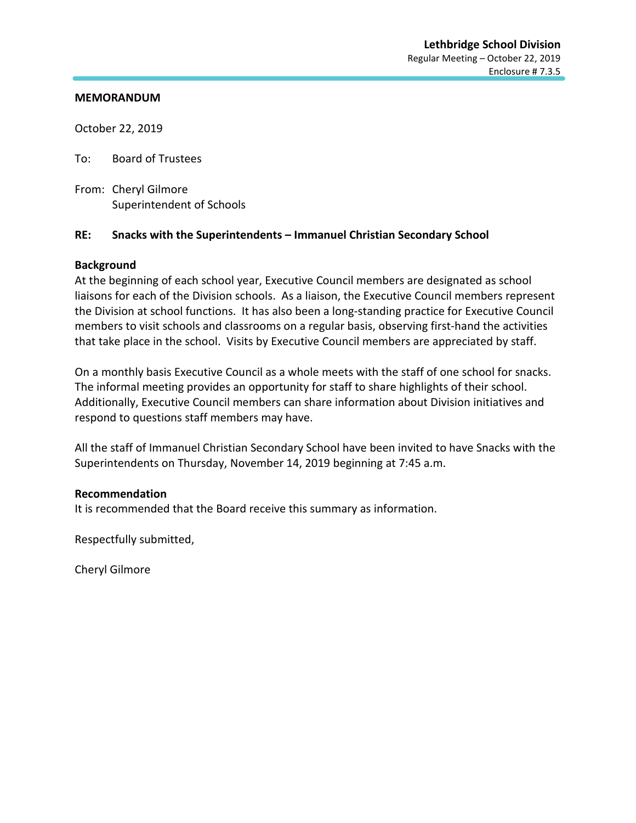October 22, 2019

To: Board of Trustees

From: Cheryl Gilmore Superintendent of Schools

## **RE: Snacks with the Superintendents – Immanuel Christian Secondary School**

## **Background**

At the beginning of each school year, Executive Council members are designated as school liaisons for each of the Division schools. As a liaison, the Executive Council members represent the Division at school functions. It has also been a long-standing practice for Executive Council members to visit schools and classrooms on a regular basis, observing first-hand the activities that take place in the school. Visits by Executive Council members are appreciated by staff.

On a monthly basis Executive Council as a whole meets with the staff of one school for snacks. The informal meeting provides an opportunity for staff to share highlights of their school. Additionally, Executive Council members can share information about Division initiatives and respond to questions staff members may have.

All the staff of Immanuel Christian Secondary School have been invited to have Snacks with the Superintendents on Thursday, November 14, 2019 beginning at 7:45 a.m.

## **Recommendation**

It is recommended that the Board receive this summary as information.

Respectfully submitted,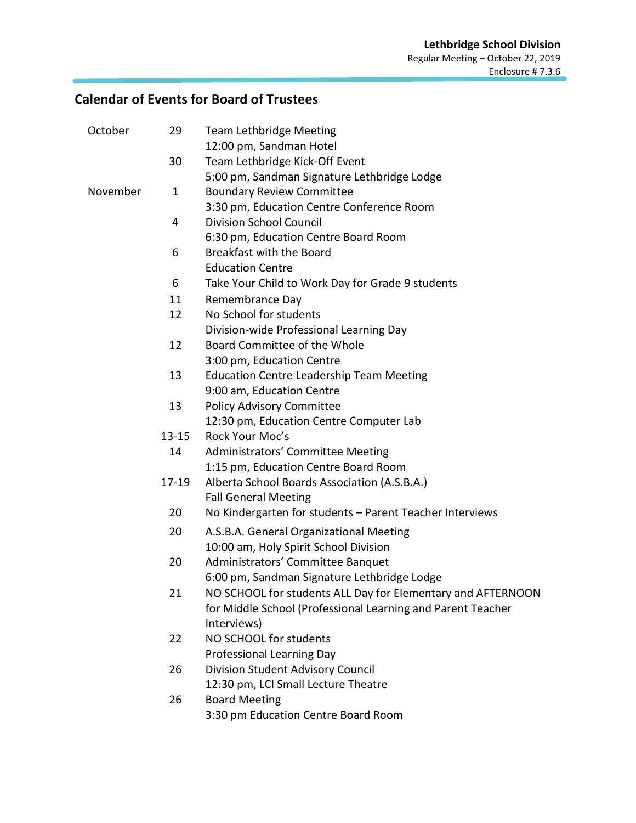## **Calendar of Events for Board of Trustees**

| 29        | <b>Team Lethbridge Meeting</b>                              |
|-----------|-------------------------------------------------------------|
|           | 12:00 pm, Sandman Hotel                                     |
| 30        | Team Lethbridge Kick-Off Event                              |
|           | 5:00 pm, Sandman Signature Lethbridge Lodge                 |
| 1         | <b>Boundary Review Committee</b>                            |
|           | 3:30 pm, Education Centre Conference Room                   |
| 4         | <b>Division School Council</b>                              |
|           | 6:30 pm, Education Centre Board Room                        |
| 6         | Breakfast with the Board                                    |
|           | <b>Education Centre</b>                                     |
| 6         | Take Your Child to Work Day for Grade 9 students            |
| 11        | Remembrance Day                                             |
| 12        | No School for students                                      |
|           | Division-wide Professional Learning Day                     |
| 12        | Board Committee of the Whole                                |
|           | 3:00 pm, Education Centre                                   |
| 13        | <b>Education Centre Leadership Team Meeting</b>             |
|           | 9:00 am, Education Centre                                   |
| 13        | <b>Policy Advisory Committee</b>                            |
|           | 12:30 pm, Education Centre Computer Lab                     |
| $13 - 15$ | Rock Your Moc's                                             |
| 14        | Administrators' Committee Meeting                           |
|           | 1:15 pm, Education Centre Board Room                        |
| $17 - 19$ | Alberta School Boards Association (A.S.B.A.)                |
|           | <b>Fall General Meeting</b>                                 |
| 20        | No Kindergarten for students - Parent Teacher Interviews    |
|           | A.S.B.A. General Organizational Meeting                     |
|           | 10:00 am, Holy Spirit School Division                       |
|           | Administrators' Committee Banquet                           |
|           | 6:00 pm, Sandman Signature Lethbridge Lodge                 |
|           | NO SCHOOL for students ALL Day for Elementary and AFTERNOON |
|           | for Middle School (Professional Learning and Parent Teacher |
|           | Interviews)                                                 |
|           | NO SCHOOL for students                                      |
|           | <b>Professional Learning Day</b>                            |
|           | Division Student Advisory Council                           |
|           | 12:30 pm, LCI Small Lecture Theatre                         |
|           | <b>Board Meeting</b>                                        |
|           | 3:30 pm Education Centre Board Room                         |
|           | 20<br>20<br>21<br>22<br>26<br>26                            |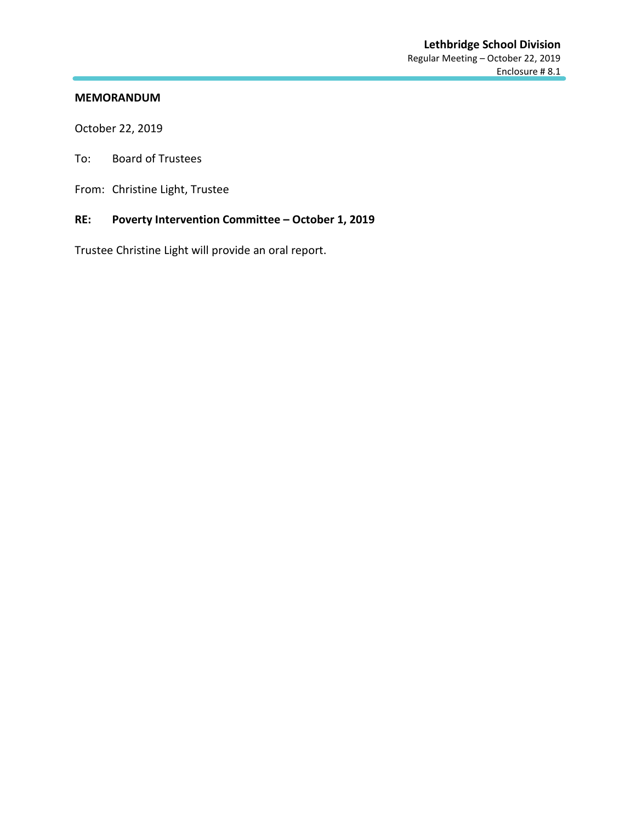October 22, 2019

- To: Board of Trustees
- From: Christine Light, Trustee

## **RE: Poverty Intervention Committee – October 1, 2019**

Trustee Christine Light will provide an oral report.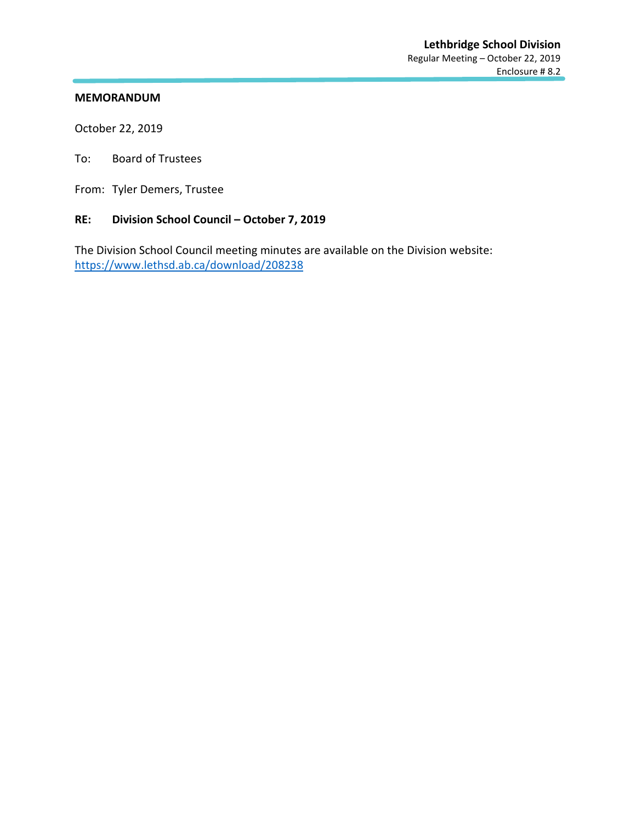October 22, 2019

To: Board of Trustees

From: Tyler Demers, Trustee

## **RE: Division School Council – October 7, 2019**

The Division School Council meeting minutes are available on the Division website: <https://www.lethsd.ab.ca/download/208238>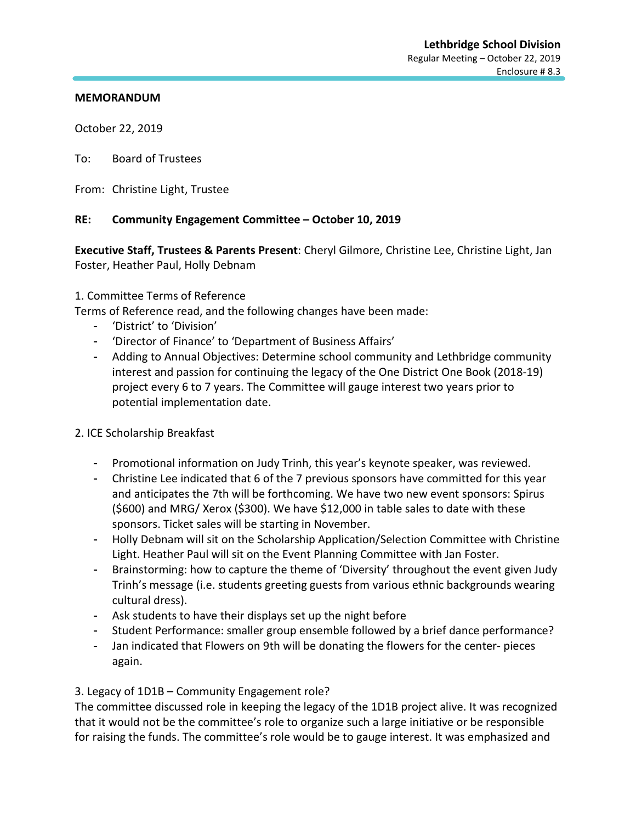October 22, 2019

To: Board of Trustees

From: Christine Light, Trustee

## **RE: Community Engagement Committee – October 10, 2019**

**Executive Staff, Trustees & Parents Present**: Cheryl Gilmore, Christine Lee, Christine Light, Jan Foster, Heather Paul, Holly Debnam

## 1. Committee Terms of Reference

Terms of Reference read, and the following changes have been made:

- 'District' to 'Division'
- 'Director of Finance' to 'Department of Business Affairs'
- Adding to Annual Objectives: Determine school community and Lethbridge community interest and passion for continuing the legacy of the One District One Book (2018-19) project every 6 to 7 years. The Committee will gauge interest two years prior to potential implementation date.

## 2. ICE Scholarship Breakfast

- Promotional information on Judy Trinh, this year's keynote speaker, was reviewed.
- Christine Lee indicated that 6 of the 7 previous sponsors have committed for this year and anticipates the 7th will be forthcoming. We have two new event sponsors: Spirus (\$600) and MRG/ Xerox (\$300). We have \$12,000 in table sales to date with these sponsors. Ticket sales will be starting in November.
- Holly Debnam will sit on the Scholarship Application/Selection Committee with Christine Light. Heather Paul will sit on the Event Planning Committee with Jan Foster.
- Brainstorming: how to capture the theme of 'Diversity' throughout the event given Judy Trinh's message (i.e. students greeting guests from various ethnic backgrounds wearing cultural dress).
- Ask students to have their displays set up the night before
- Student Performance: smaller group ensemble followed by a brief dance performance?
- Jan indicated that Flowers on 9th will be donating the flowers for the center- pieces again.

## 3. Legacy of 1D1B – Community Engagement role?

The committee discussed role in keeping the legacy of the 1D1B project alive. It was recognized that it would not be the committee's role to organize such a large initiative or be responsible for raising the funds. The committee's role would be to gauge interest. It was emphasized and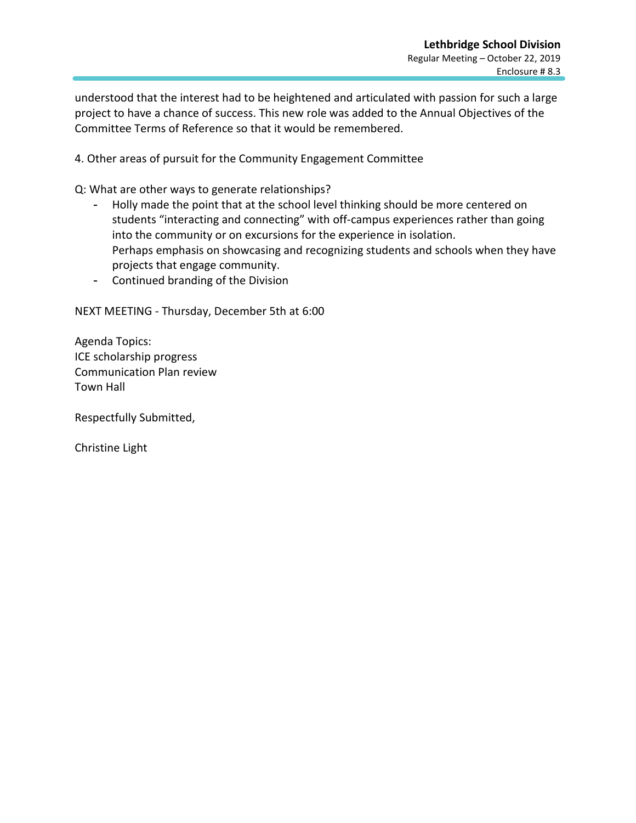understood that the interest had to be heightened and articulated with passion for such a large project to have a chance of success. This new role was added to the Annual Objectives of the Committee Terms of Reference so that it would be remembered.

4. Other areas of pursuit for the Community Engagement Committee

Q: What are other ways to generate relationships?

- Holly made the point that at the school level thinking should be more centered on students "interacting and connecting" with off-campus experiences rather than going into the community or on excursions for the experience in isolation. Perhaps emphasis on showcasing and recognizing students and schools when they have projects that engage community.
- Continued branding of the Division

NEXT MEETING - Thursday, December 5th at 6:00

Agenda Topics: ICE scholarship progress Communication Plan review Town Hall

Respectfully Submitted,

Christine Light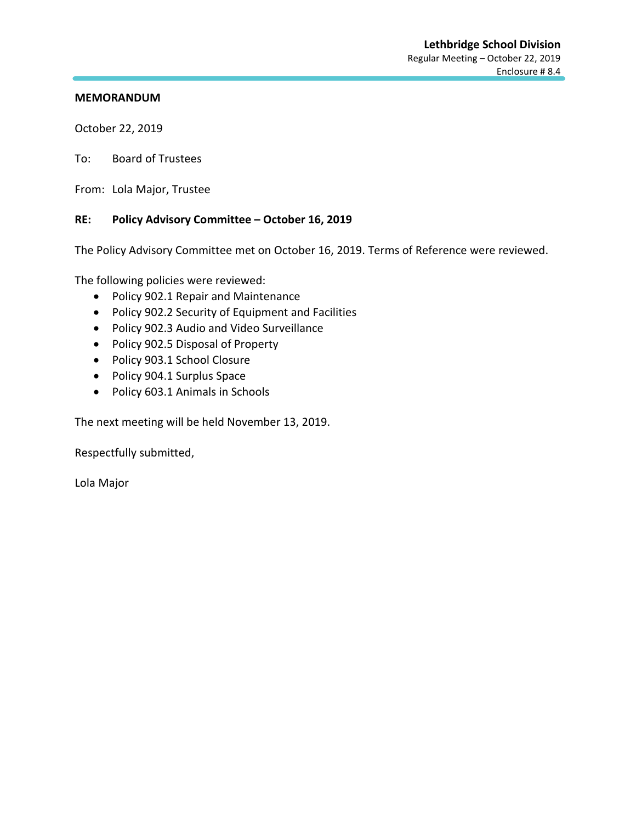October 22, 2019

To: Board of Trustees

From: Lola Major, Trustee

## **RE: Policy Advisory Committee – October 16, 2019**

The Policy Advisory Committee met on October 16, 2019. Terms of Reference were reviewed.

The following policies were reviewed:

- Policy 902.1 Repair and Maintenance
- Policy 902.2 Security of Equipment and Facilities
- Policy 902.3 Audio and Video Surveillance
- Policy 902.5 Disposal of Property
- Policy 903.1 School Closure
- Policy 904.1 Surplus Space
- Policy 603.1 Animals in Schools

The next meeting will be held November 13, 2019.

Respectfully submitted,

Lola Major